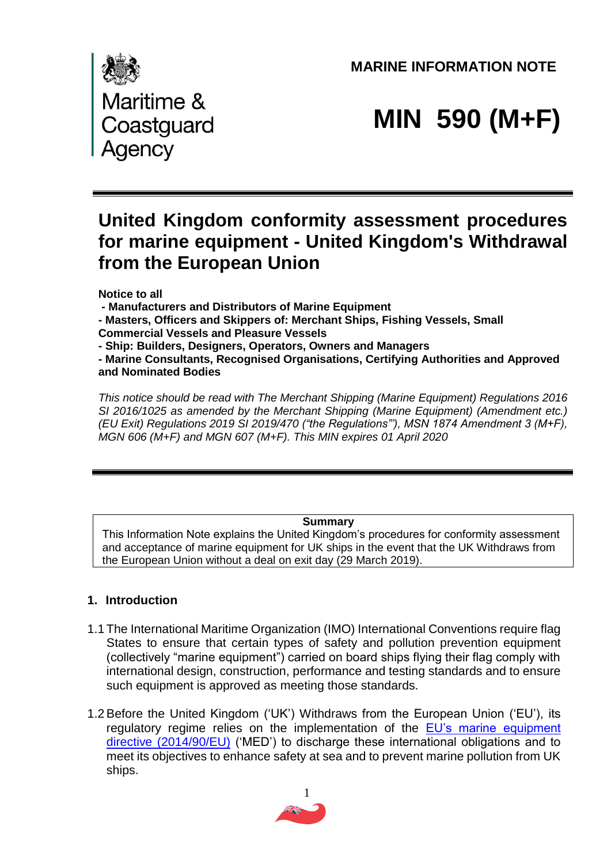**MARINE INFORMATION NOTE** 



# **MIN 590 (M+F)**

# **United Kingdom conformity assessment procedures for marine equipment - United Kingdom's Withdrawal from the European Union**

**Notice to all** 

**- Manufacturers and Distributors of Marine Equipment** 

**- Masters, Officers and Skippers of: Merchant Ships, Fishing Vessels, Small** 

**Commercial Vessels and Pleasure Vessels** 

**- Ship: Builders, Designers, Operators, Owners and Managers** 

**- Marine Consultants, Recognised Organisations, Certifying Authorities and Approved and Nominated Bodies**

*This notice should be read with The Merchant Shipping (Marine Equipment) Regulations 2016 SI 2016/1025 as amended by the Merchant Shipping (Marine Equipment) (Amendment etc.) (EU Exit) Regulations 2019 SI 2019/470 ("the Regulations"'), MSN 1874 Amendment 3 (M+F), MGN 606 (M+F) and MGN 607 (M+F). This MIN expires 01 April 2020*

#### **Summary**

This Information Note explains the United Kingdom's procedures for conformity assessment and acceptance of marine equipment for UK ships in the event that the UK Withdraws from the European Union without a deal on exit day (29 March 2019).

# **1. Introduction**

- 1.1 The International Maritime Organization (IMO) International Conventions require flag States to ensure that certain types of safety and pollution prevention equipment (collectively "marine equipment") carried on board ships flying their flag comply with international design, construction, performance and testing standards and to ensure such equipment is approved as meeting those standards.
- 1.2Before the United Kingdom ('UK') Withdraws from the European Union ('EU'), its regulatory regime relies on the implementation of the [EU's marine equipment](https://eur-lex.europa.eu/legal-content/EN/TXT/?uri=CELEX%3A32014L0090)  [directive \(2014/90/EU\)](https://eur-lex.europa.eu/legal-content/EN/TXT/?uri=CELEX%3A32014L0090) ('MED') to discharge these international obligations and to meet its objectives to enhance safety at sea and to prevent marine pollution from UK ships.

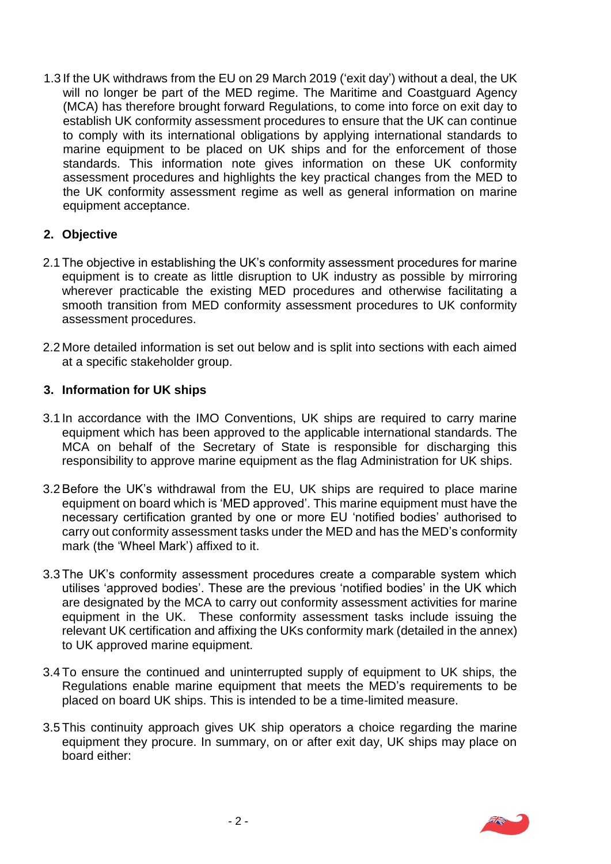1.3 If the UK withdraws from the EU on 29 March 2019 ('exit day') without a deal, the UK will no longer be part of the MED regime. The Maritime and Coastguard Agency (MCA) has therefore brought forward Regulations, to come into force on exit day to establish UK conformity assessment procedures to ensure that the UK can continue to comply with its international obligations by applying international standards to marine equipment to be placed on UK ships and for the enforcement of those standards. This information note gives information on these UK conformity assessment procedures and highlights the key practical changes from the MED to the UK conformity assessment regime as well as general information on marine equipment acceptance.

# **2. Objective**

- 2.1 The objective in establishing the UK's conformity assessment procedures for marine equipment is to create as little disruption to UK industry as possible by mirroring wherever practicable the existing MED procedures and otherwise facilitating a smooth transition from MED conformity assessment procedures to UK conformity assessment procedures.
- 2.2 More detailed information is set out below and is split into sections with each aimed at a specific stakeholder group.

#### **3. Information for UK ships**

- 3.1 In accordance with the IMO Conventions, UK ships are required to carry marine equipment which has been approved to the applicable international standards. The MCA on behalf of the Secretary of State is responsible for discharging this responsibility to approve marine equipment as the flag Administration for UK ships.
- 3.2 Before the UK's withdrawal from the EU, UK ships are required to place marine equipment on board which is 'MED approved'. This marine equipment must have the necessary certification granted by one or more EU 'notified bodies' authorised to carry out conformity assessment tasks under the MED and has the MED's conformity mark (the 'Wheel Mark') affixed to it.
- 3.3 The UK's conformity assessment procedures create a comparable system which utilises 'approved bodies'. These are the previous 'notified bodies' in the UK which are designated by the MCA to carry out conformity assessment activities for marine equipment in the UK. These conformity assessment tasks include issuing the relevant UK certification and affixing the UKs conformity mark (detailed in the annex) to UK approved marine equipment.
- 3.4 To ensure the continued and uninterrupted supply of equipment to UK ships, the Regulations enable marine equipment that meets the MED's requirements to be placed on board UK ships. This is intended to be a time-limited measure.
- 3.5 This continuity approach gives UK ship operators a choice regarding the marine equipment they procure. In summary, on or after exit day, UK ships may place on board either:

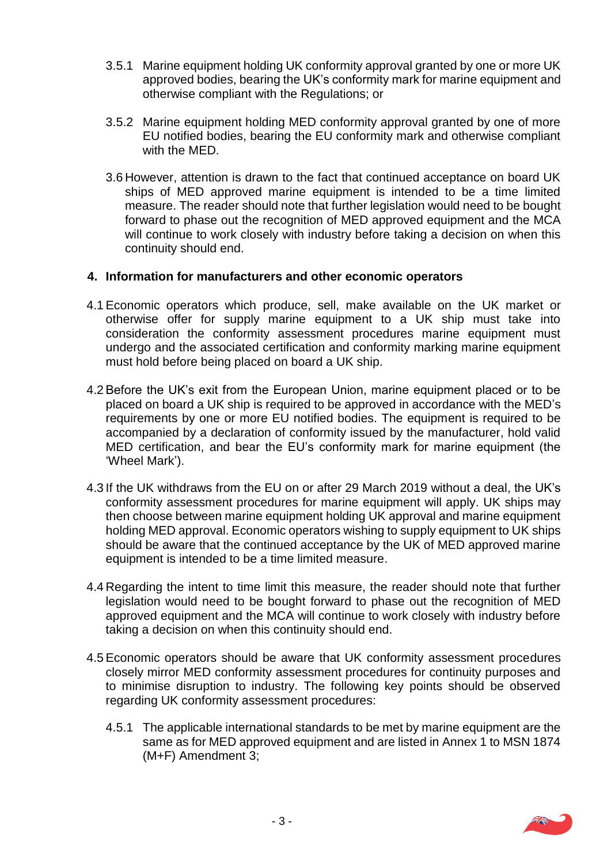- 3.5.1 Marine equipment holding UK conformity approval granted by one or more UK approved bodies, bearing the UK's conformity mark for marine equipment and otherwise compliant with the Regulations; or
- 3.5.2 Marine equipment holding MED conformity approval granted by one of more EU notified bodies, bearing the EU conformity mark and otherwise compliant with the MED.
- 3.6 However, attention is drawn to the fact that continued acceptance on board UK ships of MED approved marine equipment is intended to be a time limited measure. The reader should note that further legislation would need to be bought forward to phase out the recognition of MED approved equipment and the MCA will continue to work closely with industry before taking a decision on when this continuity should end.

#### **4. Information for manufacturers and other economic operators**

- 4.1Economic operators which produce, sell, make available on the UK market or otherwise offer for supply marine equipment to a UK ship must take into consideration the conformity assessment procedures marine equipment must undergo and the associated certification and conformity marking marine equipment must hold before being placed on board a UK ship.
- 4.2Before the UK's exit from the European Union, marine equipment placed or to be placed on board a UK ship is required to be approved in accordance with the MED's requirements by one or more EU notified bodies. The equipment is required to be accompanied by a declaration of conformity issued by the manufacturer, hold valid MED certification, and bear the EU's conformity mark for marine equipment (the 'Wheel Mark').
- 4.3 If the UK withdraws from the EU on or after 29 March 2019 without a deal, the UK's conformity assessment procedures for marine equipment will apply. UK ships may then choose between marine equipment holding UK approval and marine equipment holding MED approval. Economic operators wishing to supply equipment to UK ships should be aware that the continued acceptance by the UK of MED approved marine equipment is intended to be a time limited measure.
- 4.4 Regarding the intent to time limit this measure, the reader should note that further legislation would need to be bought forward to phase out the recognition of MED approved equipment and the MCA will continue to work closely with industry before taking a decision on when this continuity should end.
- 4.5Economic operators should be aware that UK conformity assessment procedures closely mirror MED conformity assessment procedures for continuity purposes and to minimise disruption to industry. The following key points should be observed regarding UK conformity assessment procedures:
	- 4.5.1 The applicable international standards to be met by marine equipment are the same as for MED approved equipment and are listed in Annex 1 to MSN 1874 (M+F) Amendment 3;

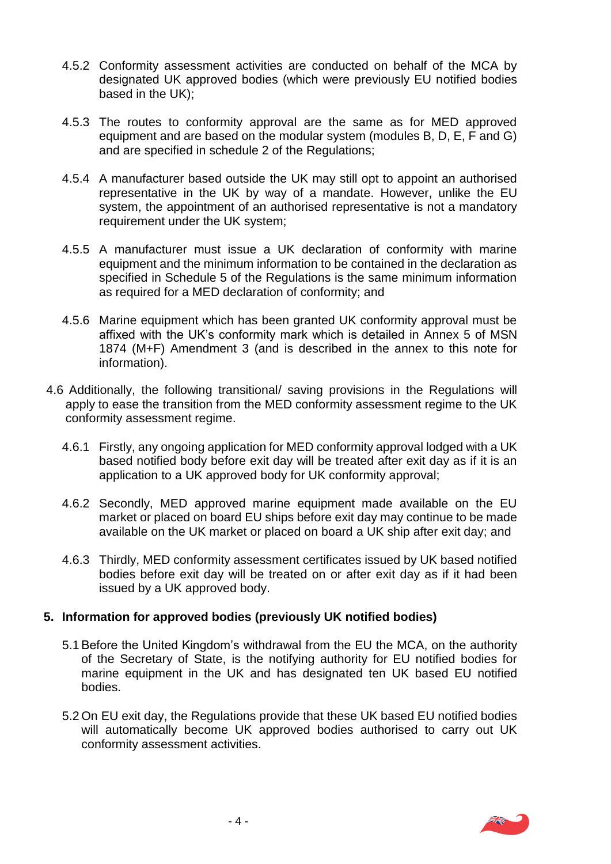- 4.5.2 Conformity assessment activities are conducted on behalf of the MCA by designated UK approved bodies (which were previously EU notified bodies based in the UK);
- 4.5.3 The routes to conformity approval are the same as for MED approved equipment and are based on the modular system (modules B, D, E, F and G) and are specified in schedule 2 of the Regulations;
- 4.5.4 A manufacturer based outside the UK may still opt to appoint an authorised representative in the UK by way of a mandate. However, unlike the EU system, the appointment of an authorised representative is not a mandatory requirement under the UK system;
- 4.5.5 A manufacturer must issue a UK declaration of conformity with marine equipment and the minimum information to be contained in the declaration as specified in Schedule 5 of the Regulations is the same minimum information as required for a MED declaration of conformity; and
- 4.5.6 Marine equipment which has been granted UK conformity approval must be affixed with the UK's conformity mark which is detailed in Annex 5 of MSN 1874 (M+F) Amendment 3 (and is described in the annex to this note for information).
- 4.6 Additionally, the following transitional/ saving provisions in the Regulations will apply to ease the transition from the MED conformity assessment regime to the UK conformity assessment regime.
	- 4.6.1 Firstly, any ongoing application for MED conformity approval lodged with a UK based notified body before exit day will be treated after exit day as if it is an application to a UK approved body for UK conformity approval;
	- 4.6.2 Secondly, MED approved marine equipment made available on the EU market or placed on board EU ships before exit day may continue to be made available on the UK market or placed on board a UK ship after exit day; and
	- 4.6.3 Thirdly, MED conformity assessment certificates issued by UK based notified bodies before exit day will be treated on or after exit day as if it had been issued by a UK approved body.

# **5. Information for approved bodies (previously UK notified bodies)**

- 5.1 Before the United Kingdom's withdrawal from the EU the MCA, on the authority of the Secretary of State, is the notifying authority for EU notified bodies for marine equipment in the UK and has designated ten UK based EU notified bodies.
- 5.2 On EU exit day, the Regulations provide that these UK based EU notified bodies will automatically become UK approved bodies authorised to carry out UK conformity assessment activities.

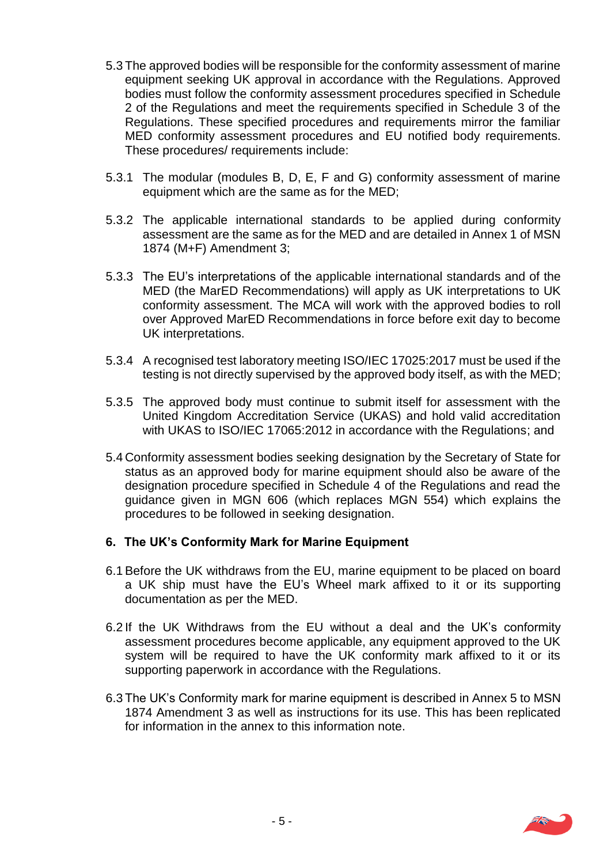- 5.3 The approved bodies will be responsible for the conformity assessment of marine equipment seeking UK approval in accordance with the Regulations. Approved bodies must follow the conformity assessment procedures specified in Schedule 2 of the Regulations and meet the requirements specified in Schedule 3 of the Regulations. These specified procedures and requirements mirror the familiar MED conformity assessment procedures and EU notified body requirements. These procedures/ requirements include:
- 5.3.1 The modular (modules B, D, E, F and G) conformity assessment of marine equipment which are the same as for the MED;
- 5.3.2 The applicable international standards to be applied during conformity assessment are the same as for the MED and are detailed in Annex 1 of MSN 1874 (M+F) Amendment 3;
- 5.3.3 The EU's interpretations of the applicable international standards and of the MED (the MarED Recommendations) will apply as UK interpretations to UK conformity assessment. The MCA will work with the approved bodies to roll over Approved MarED Recommendations in force before exit day to become UK interpretations.
- 5.3.4 A recognised test laboratory meeting ISO/IEC 17025:2017 must be used if the testing is not directly supervised by the approved body itself, as with the MED;
- 5.3.5 The approved body must continue to submit itself for assessment with the United Kingdom Accreditation Service (UKAS) and hold valid accreditation with UKAS to ISO/IEC 17065:2012 in accordance with the Regulations; and
- 5.4 Conformity assessment bodies seeking designation by the Secretary of State for status as an approved body for marine equipment should also be aware of the designation procedure specified in Schedule 4 of the Regulations and read the guidance given in MGN 606 (which replaces MGN 554) which explains the procedures to be followed in seeking designation.

# **6. The UK's Conformity Mark for Marine Equipment**

- 6.1 Before the UK withdraws from the EU, marine equipment to be placed on board a UK ship must have the EU's Wheel mark affixed to it or its supporting documentation as per the MED.
- 6.2 If the UK Withdraws from the EU without a deal and the UK's conformity assessment procedures become applicable, any equipment approved to the UK system will be required to have the UK conformity mark affixed to it or its supporting paperwork in accordance with the Regulations.
- 6.3 The UK's Conformity mark for marine equipment is described in Annex 5 to MSN 1874 Amendment 3 as well as instructions for its use. This has been replicated for information in the annex to this information note.

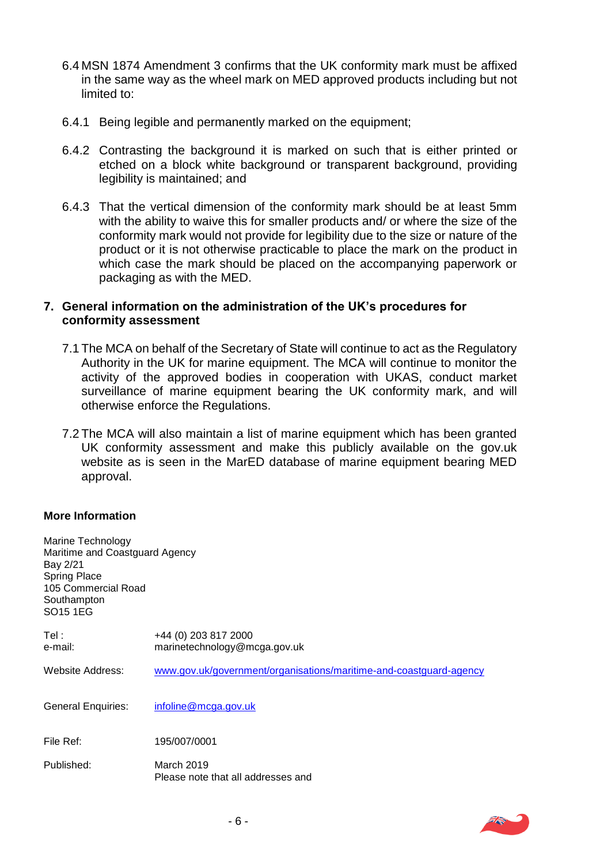- 6.4 MSN 1874 Amendment 3 confirms that the UK conformity mark must be affixed in the same way as the wheel mark on MED approved products including but not limited to:
- 6.4.1 Being legible and permanently marked on the equipment;
- 6.4.2 Contrasting the background it is marked on such that is either printed or etched on a block white background or transparent background, providing legibility is maintained; and
- 6.4.3 That the vertical dimension of the conformity mark should be at least 5mm with the ability to waive this for smaller products and/ or where the size of the conformity mark would not provide for legibility due to the size or nature of the product or it is not otherwise practicable to place the mark on the product in which case the mark should be placed on the accompanying paperwork or packaging as with the MED.

#### **7. General information on the administration of the UK's procedures for conformity assessment**

- 7.1 The MCA on behalf of the Secretary of State will continue to act as the Regulatory Authority in the UK for marine equipment. The MCA will continue to monitor the activity of the approved bodies in cooperation with UKAS, conduct market surveillance of marine equipment bearing the UK conformity mark, and will otherwise enforce the Regulations.
- 7.2 The MCA will also maintain a list of marine equipment which has been granted UK conformity assessment and make this publicly available on the gov.uk website as is seen in the MarED database of marine equipment bearing MED approval.

#### **More Information**

| Marine Technology<br>Maritime and Coastguard Agency<br>Bay 2/21<br>Spring Place<br>105 Commercial Road<br>Southampton<br>SO15 1EG |                                                                    |
|-----------------------------------------------------------------------------------------------------------------------------------|--------------------------------------------------------------------|
| Tel :<br>e-mail:                                                                                                                  | +44 (0) 203 817 2000<br>marinetechnology@mcga.gov.uk               |
| Website Address:                                                                                                                  | www.gov.uk/government/organisations/maritime-and-coastguard-agency |
| General Enquiries:                                                                                                                | infoline@mcga.gov.uk                                               |
| File Ref:                                                                                                                         | 195/007/0001                                                       |
| Published:                                                                                                                        | March 2019<br>Please note that all addresses and                   |

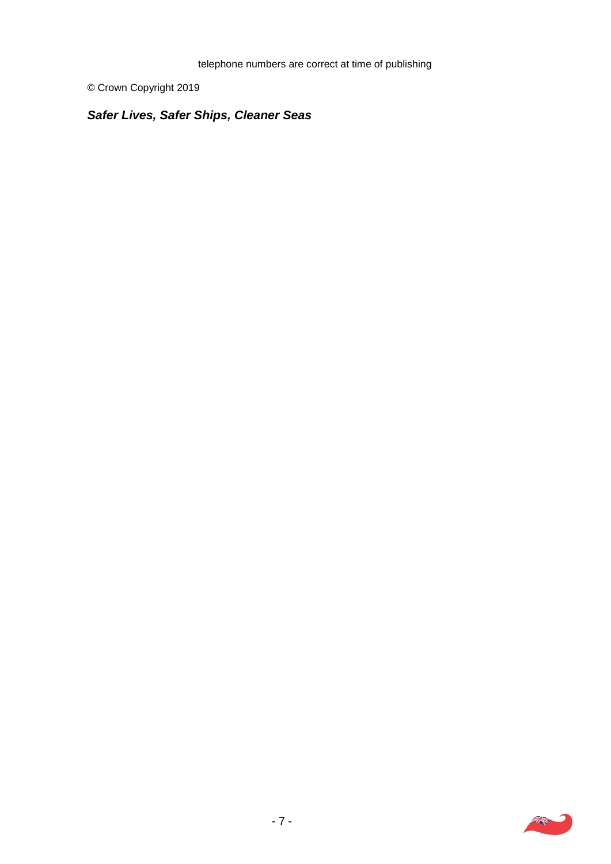© Crown Copyright 2019

# *Safer Lives, Safer Ships, Cleaner Seas.*